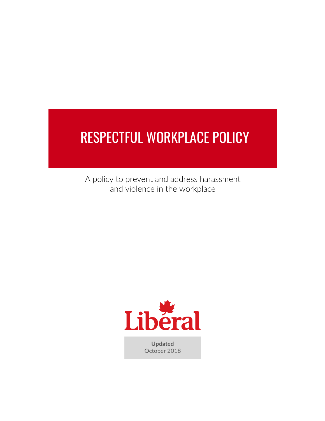# RESPECTFUL WORKPLACE POLICY

A policy to prevent and address harassment and violence in the workplace



**Updated** October 2018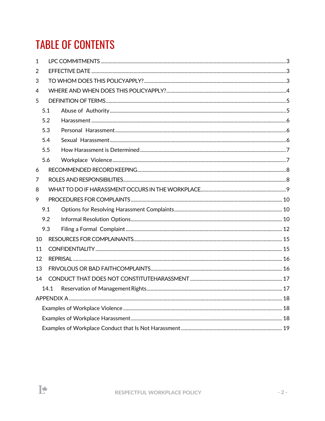## **TABLE OF CONTENTS**

 $\mathbf{F}$ 

| 1  |      |  |  |  |
|----|------|--|--|--|
| 2  |      |  |  |  |
| 3  |      |  |  |  |
| 4  |      |  |  |  |
| 5  |      |  |  |  |
|    | 5.1  |  |  |  |
|    | 5.2  |  |  |  |
|    | 5.3  |  |  |  |
|    | 5.4  |  |  |  |
|    | 5.5  |  |  |  |
|    | 5.6  |  |  |  |
| 6  |      |  |  |  |
| 7  |      |  |  |  |
| 8  |      |  |  |  |
| 9  |      |  |  |  |
|    | 9.1  |  |  |  |
|    | 9.2  |  |  |  |
|    | 9.3  |  |  |  |
| 10 |      |  |  |  |
| 11 |      |  |  |  |
| 12 |      |  |  |  |
| 13 |      |  |  |  |
| 14 |      |  |  |  |
|    | 14.1 |  |  |  |
|    |      |  |  |  |
|    |      |  |  |  |
|    |      |  |  |  |
|    |      |  |  |  |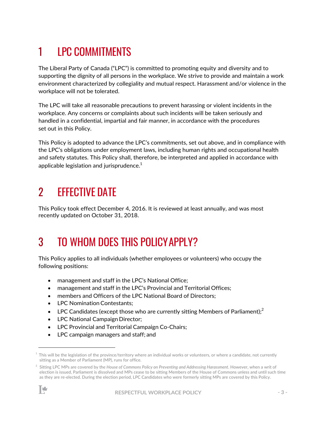## 1 LPC COMMITMENTS

The Liberal Party of Canada ("LPC") is committed to promoting equity and diversity and to supporting the dignity of all persons in the workplace. We strive to provide and maintain a work environment characterized by collegiality and mutual respect. Harassment and/or violence in the workplace will not be tolerated.

The LPC will take all reasonable precautions to prevent harassing or violent incidents in the workplace. Any concerns or complaints about such incidents will be taken seriously and handled in a confidential, impartial and fair manner, in accordance with the procedures set out in this Policy.

This Policy is adopted to advance the LPC's commitments, set out above, and in compliance with the LPC's obligations under employment laws, including human rights and occupational health and safety statutes. This Policy shall, therefore, be interpreted and applied in accordance with applicable legislation and jurisprudence. $1$ 

### 2 EFFECTIVE DATE

This Policy took effect December 4, 2016. It is reviewed at least annually, and was most recently updated on October 31, 2018.

## 3 TO WHOM DOES THIS POLICYAPPLY?

This Policy applies to all individuals (whether employees or volunteers) who occupy the following positions:

- management and staff in the LPC's National Office;
- management and staff in the LPC's Provincial and Territorial Offices;
- members and Officers of the LPC National Board of Directors;
- **LPC Nomination Contestants:**
- LPC Candidates (except those who are currently sitting Members of Parliament);<sup>2</sup>
- LPC National Campaign Director;
- LPC Provincial and Territorial Campaign Co-Chairs;
- LPC campaign managers and staff; and

<sup>2</sup> Sitting LPC MPs are covered by the *House of Commons Policy on Preventing and Addressing Harassment*. However, when a writ of election is issued, Parliament is dissolved and MPs cease to be sitting Members of the House of Commons unless and until such time as they are re-elected. During the election period, LPC Candidates who were formerly sitting MPs are covered by this Policy.



 $^1$  This will be the legislation of the province/territory where an individual works or volunteers, or where a candidate, not currently sitting as a Member of Parliament (MP), runs for office.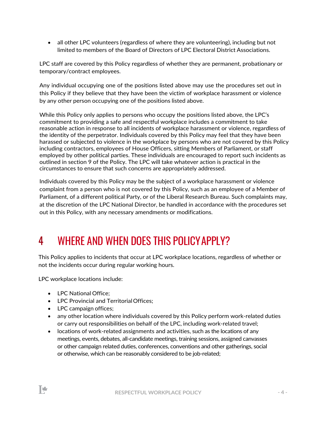• all other LPC volunteers (regardless of where they are volunteering), including but not limited to members of the Board of Directors of LPC Electoral District Associations.

LPC staff are covered by this Policy regardless of whether they are permanent, probationary or temporary/contract employees.

Any individual occupying one of the positions listed above may use the procedures set out in this Policy if they believe that they have been the victim of workplace harassment or violence by any other person occupying one of the positions listed above.

While this Policy only applies to persons who occupy the positions listed above, the LPC's commitment to providing a safe and respectful workplace includes a commitment to take reasonable action in response to all incidents of workplace harassment or violence, regardless of the identity of the perpetrator. Individuals covered by this Policy may feel that they have been harassed or subjected to violence in the workplace by persons who are not covered by this Policy including contractors, employees of House Officers, sitting Members of Parliament, or staff employed by other political parties. These individuals are encouraged to report such incidents as outlined in section 9 of the Policy. The LPC will take whatever action is practical in the circumstances to ensure that such concerns are appropriately addressed.

Individuals covered by this Policy may be the subject of a workplace harassment or violence complaint from a person who is not covered by this Policy, such as an employee of a Member of Parliament, of a different political Party, or of the Liberal Research Bureau. Such complaints may, at the discretion of the LPC National Director, be handled in accordance with the procedures set out in this Policy, with any necessary amendments or modifications.

### 4 WHERE AND WHEN DOES THIS POLICYAPPLY?

This Policy applies to incidents that occur at LPC workplace locations, regardless of whether or not the incidents occur during regular working hours.

LPC workplace locations include:

- LPC National Office;
- LPC Provincial and TerritorialOffices;
- LPC campaign offices;

∦

- any other location where individuals covered by this Policy perform work-related duties or carry out responsibilities on behalf of the LPC, including work-related travel;
- locations of work-related assignments and activities, such as the locations of any meetings, events, debates, all-candidate meetings, training sessions, assigned canvasses or other campaign related duties, conferences, conventions and other gatherings, social or otherwise, which can be reasonably considered to be job-related;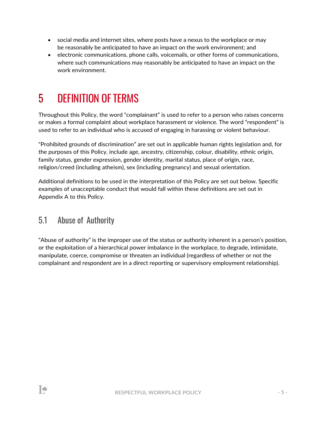- social media and internet sites, where posts have a nexus to the workplace or may be reasonably be anticipated to have an impact on the work environment; and
- electronic communications, phone calls, voicemails, or other forms of communications, where such communications may reasonably be anticipated to have an impact on the work environment.

### 5 DEFINITION OF TERMS

Throughout this Policy, the word "complainant" is used to refer to a person who raises concerns or makes a formal complaint about workplace harassment or violence. The word "respondent" is used to refer to an individual who is accused of engaging in harassing or violent behaviour.

"Prohibited grounds of discrimination" are set out in applicable human rights legislation and, for the purposes of this Policy, include age, ancestry, citizenship, colour, disability, ethnic origin, family status, gender expression, gender identity, marital status, place of origin, race, religion/creed (including atheism), sex (including pregnancy) and sexual orientation.

Additional definitions to be used in the interpretation of this Policy are set out below. Specific examples of unacceptable conduct that would fall within these definitions are set out in Appendix A to this Policy.

#### 5.1 Abuse of Authority

"Abuse of authority" is the improper use of the status or authority inherent in a person's position, or the exploitation of a hierarchical power imbalance in the workplace, to degrade, intimidate, manipulate, coerce, compromise or threaten an individual (regardless of whether or not the complainant and respondent are in a direct reporting or supervisory employment relationship).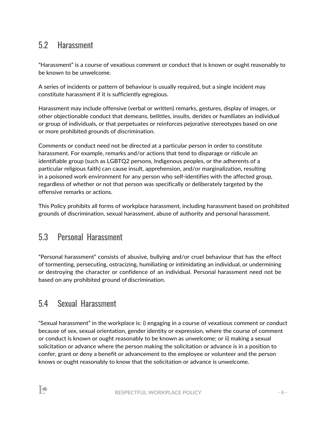### 5.2 Harassment

"Harassment" is a course of vexatious comment or conduct that is known or ought reasonably to be known to be unwelcome.

A series of incidents or pattern of behaviour is usually required, but a single incident may constitute harassment if it is sufficiently egregious.

Harassment may include offensive (verbal or written) remarks, gestures, display of images, or other objectionable conduct that demeans, belittles, insults, derides or humiliates an individual or group of individuals, or that perpetuates or reinforces pejorative stereotypes based on one or more prohibited grounds of discrimination.

Comments or conduct need not be directed at a particular person in order to constitute harassment. For example, remarks and/or actions that tend to disparage or ridicule an identifiable group (such as LGBTQ2 persons, Indigenous peoples, or the adherents of a particular religious faith) can cause insult, apprehension, and/or marginalization, resulting in a poisoned work environment for any person who self-identifies with the affected group, regardless of whether or not that person was specifically or deliberately targeted by the offensive remarks or actions.

This Policy prohibits all forms of workplace harassment, including harassment based on prohibited grounds of discrimination, sexual harassment, abuse of authority and personal harassment.

#### 5.3 Personal Harassment

"Personal harassment" consists of abusive, bullying and/or cruel behaviour that has the effect of tormenting, persecuting, ostracizing, humiliating or intimidating an individual, or undermining or destroying the character or confidence of an individual. Personal harassment need not be based on any prohibited ground of discrimination.

#### 5.4 Sexual Harassment

"Sexual harassment" in the workplace is: i) engaging in a course of vexatious comment or conduct because of sex, sexual orientation, gender identity or expression, where the course of comment or conduct is known or ought reasonably to be known as unwelcome; or ii) making a sexual solicitation or advance where the person making the solicitation or advance is in a position to confer, grant or deny a benefit or advancement to the employee or volunteer and the person knows or ought reasonably to know that the solicitation or advance is unwelcome.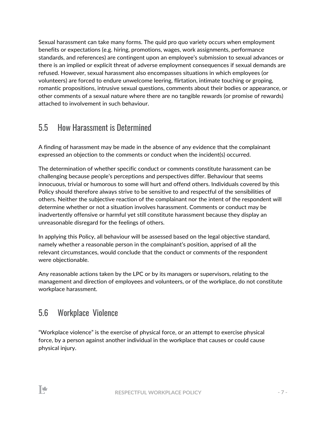Sexual harassment can take many forms. The quid pro quo variety occurs when employment benefits or expectations (e.g. hiring, promotions, wages, work assignments, performance standards, and references) are contingent upon an employee's submission to sexual advances or there is an implied or explicit threat of adverse employment consequences if sexual demands are refused. However, sexual harassment also encompasses situations in which employees (or volunteers) are forced to endure unwelcome leering, flirtation, intimate touching or groping, romantic propositions, intrusive sexual questions, comments about their bodies or appearance, or other comments of a sexual nature where there are no tangible rewards (or promise of rewards) attached to involvement in such behaviour.

### 5.5 How Harassment is Determined

A finding of harassment may be made in the absence of any evidence that the complainant expressed an objection to the comments or conduct when the incident(s) occurred.

The determination of whether specific conduct or comments constitute harassment can be challenging because people's perceptions and perspectives differ. Behaviour that seems innocuous, trivial or humorous to some will hurt and offend others. Individuals covered by this Policy should therefore always strive to be sensitive to and respectful of the sensibilities of others. Neither the subjective reaction of the complainant nor the intent of the respondent will determine whether or not a situation involves harassment. Comments or conduct may be inadvertently offensive or harmful yet still constitute harassment because they display an unreasonable disregard for the feelings of others.

In applying this Policy, all behaviour will be assessed based on the legal objective standard, namely whether a reasonable person in the complainant's position, apprised of all the relevant circumstances, would conclude that the conduct or comments of the respondent were objectionable.

Any reasonable actions taken by the LPC or by its managers or supervisors, relating to the management and direction of employees and volunteers, or of the workplace, do not constitute workplace harassment.

### 5.6 Workplace Violence

"Workplace violence" is the exercise of physical force, or an attempt to exercise physical force, by a person against another individual in the workplace that causes or could cause physical injury.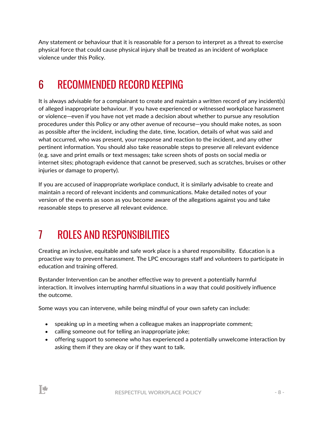Any statement or behaviour that it is reasonable for a person to interpret as a threat to exercise physical force that could cause physical injury shall be treated as an incident of workplace violence under this Policy.

## 6 RECOMMENDED RECORD KEEPING

It is always advisable for a complainant to create and maintain a written record of any incident(s) of alleged inappropriate behaviour. If you have experienced or witnessed workplace harassment or violence—even if you have not yet made a decision about whether to pursue any resolution procedures under this Policy or any other avenue of recourse—you should make notes, as soon as possible after the incident, including the date, time, location, details of what was said and what occurred, who was present, your response and reaction to the incident, and any other pertinent information. You should also take reasonable steps to preserve all relevant evidence (e.g. save and print emails or text messages; take screen shots of posts on social media or internet sites; photograph evidence that cannot be preserved, such as scratches, bruises or other injuries or damage to property).

If you are accused of inappropriate workplace conduct, it is similarly advisable to create and maintain a record of relevant incidents and communications. Make detailed notes of your version of the events as soon as you become aware of the allegations against you and take reasonable steps to preserve all relevant evidence.

## 7 ROLES AND RESPONSIBILITIES

Creating an inclusive, equitable and safe work place is a shared responsibility. Education is a proactive way to prevent harassment. The LPC encourages staff and volunteers to participate in education and training offered.

Bystander Intervention can be another effective way to prevent a potentially harmful interaction. It involves interrupting harmful situations in a way that could positively influence the outcome.

Some ways you can intervene, while being mindful of your own safety can include:

- speaking up in a meeting when a colleague makes an inappropriate comment;
- calling someone out for telling an inappropriate joke;

₩

• offering support to someone who has experienced a potentially unwelcome interaction by asking them if they are okay or if they want to talk.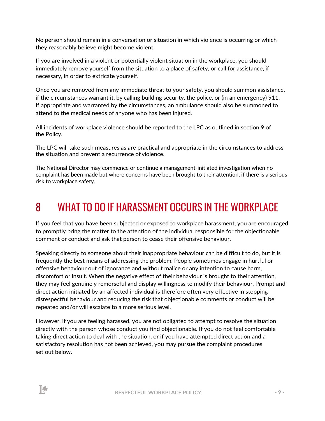No person should remain in a conversation or situation in which violence is occurring or which they reasonably believe might become violent.

If you are involved in a violent or potentially violent situation in the workplace, you should immediately remove yourself from the situation to a place of safety, or call for assistance, if necessary, in order to extricate yourself.

Once you are removed from any immediate threat to your safety, you should summon assistance, if the circumstances warrant it, by calling building security, the police, or (in an emergency) 911. If appropriate and warranted by the circumstances, an ambulance should also be summoned to attend to the medical needs of anyone who has been injured.

All incidents of workplace violence should be reported to the LPC as outlined in section 9 of the Policy.

The LPC will take such measures as are practical and appropriate in the circumstances to address the situation and prevent a recurrence of violence.

The National Director may commence or continue a management-initiated investigation when no complaint has been made but where concerns have been brought to their attention, if there is a serious risk to workplace safety.

### 8 WHAT TO DO IF HARASSMENT OCCURS IN THE WORKPLACE

If you feel that you have been subjected or exposed to workplace harassment, you are encouraged to promptly bring the matter to the attention of the individual responsible for the objectionable comment or conduct and ask that person to cease their offensive behaviour.

Speaking directly to someone about their inappropriate behaviour can be difficult to do, but it is frequently the best means of addressing the problem. People sometimes engage in hurtful or offensive behaviour out of ignorance and without malice or any intention to cause harm, discomfort or insult. When the negative effect of their behaviour is brought to their attention, they may feel genuinely remorseful and display willingness to modify their behaviour. Prompt and direct action initiated by an affected individual is therefore often very effective in stopping disrespectful behaviour and reducing the risk that objectionable comments or conduct will be repeated and/or will escalate to a more serious level.

However, if you are feeling harassed, you are not obligated to attempt to resolve the situation directly with the person whose conduct you find objectionable. If you do not feel comfortable taking direct action to deal with the situation, or if you have attempted direct action and a satisfactory resolution has not been achieved, you may pursue the complaint procedures set out below.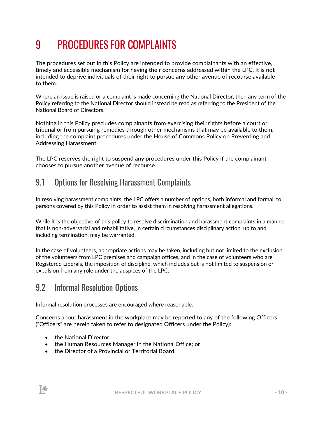## 9 PROCEDURES FOR COMPLAINTS

The procedures set out in this Policy are intended to provide complainants with an effective, timely and accessible mechanism for having their concerns addressed within the LPC. It is not intended to deprive individuals of their right to pursue any other avenue of recourse available to them.

Where an issue is raised or a complaint is made concerning the National Director, then any term of the Policy referring to the National Director should instead be read as referring to the President of the National Board of Directors.

Nothing in this Policy precludes complainants from exercising their rights before a court or tribunal or from pursuing remedies through other mechanisms that may be available to them, including the complaint procedures under the House of Commons Policy on Preventing and Addressing Harassment.

The LPC reserves the right to suspend any procedures under this Policy if the complainant chooses to pursue another avenue of recourse.

### 9.1 Options for Resolving Harassment Complaints

In resolving harassment complaints, the LPC offers a number of options, both informal and formal, to persons covered by this Policy in order to assist them in resolving harassment allegations.

While it is the objective of this policy to resolve discrimination and harassment complaints in a manner that is non-adversarial and rehabilitative, in certain circumstances disciplinary action, up to and including termination, may be warranted.

In the case of volunteers, appropriate actions may be taken, including but not limited to the exclusion of the volunteers from LPC premises and campaign offices, and in the case of volunteers who are Registered Liberals, the imposition of discipline, which includes but is not limited to suspension or expulsion from any role under the auspices of the LPC.

#### 9.2 Informal Resolution Options

Informal resolution processes are encouraged where reasonable.

Concerns about harassment in the workplace may be reported to any of the following Officers ("Officers" are herein taken to refer to designated Officers under the Policy):

• the National Director;

陟

- the Human Resources Manager in the National Office; or
- the Director of a Provincial or Territorial Board.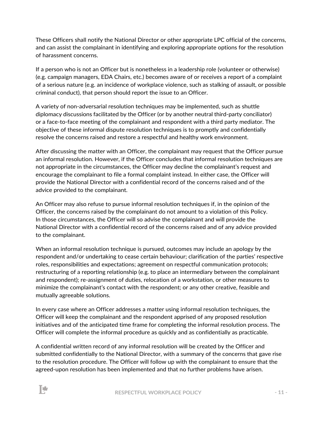These Officers shall notify the National Director or other appropriate LPC official of the concerns, and can assist the complainant in identifying and exploring appropriate options for the resolution of harassment concerns.

If a person who is not an Officer but is nonetheless in a leadership role (volunteer or otherwise) (e.g. campaign managers, EDA Chairs, etc.) becomes aware of or receives a report of a complaint of a serious nature (e.g. an incidence of workplace violence, such as stalking of assault, or possible criminal conduct), that person should report the issue to an Officer.

A variety of non-adversarial resolution techniques may be implemented, such as shuttle diplomacy discussions facilitated by the Officer (or by another neutral third-party conciliator) or a face-to-face meeting of the complainant and respondent with a third party mediator. The objective of these informal dispute resolution techniques is to promptly and confidentially resolve the concerns raised and restore a respectful and healthy work environment.

After discussing the matter with an Officer, the complainant may request that the Officer pursue an informal resolution. However, if the Officer concludes that informal resolution techniques are not appropriate in the circumstances, the Officer may decline the complainant's request and encourage the complainant to file a formal complaint instead. In either case, the Officer will provide the National Director with a confidential record of the concerns raised and of the advice provided to the complainant.

An Officer may also refuse to pursue informal resolution techniques if, in the opinion of the Officer, the concerns raised by the complainant do not amount to a violation of this Policy. In those circumstances, the Officer will so advise the complainant and will provide the National Director with a confidential record of the concerns raised and of any advice provided to the complainant.

When an informal resolution technique is pursued, outcomes may include an apology by the respondent and/or undertaking to cease certain behaviour; clarification of the parties' respective roles, responsibilities and expectations; agreement on respectful communication protocols; restructuring of a reporting relationship (e.g. to place an intermediary between the complainant and respondent); re-assignment of duties, relocation of a workstation, or other measures to minimize the complainant's contact with the respondent; or any other creative, feasible and mutually agreeable solutions.

In every case where an Officer addresses a matter using informal resolution techniques, the Officer will keep the complainant and the respondent apprised of any proposed resolution initiatives and of the anticipated time frame for completing the informal resolution process. The Officer will complete the informal procedure as quickly and as confidentially as practicable.

A confidential written record of any informal resolution will be created by the Officer and submitted confidentially to the National Director, with a summary of the concerns that gave rise to the resolution procedure. The Officer will follow up with the complainant to ensure that the agreed-upon resolution has been implemented and that no further problems have arisen.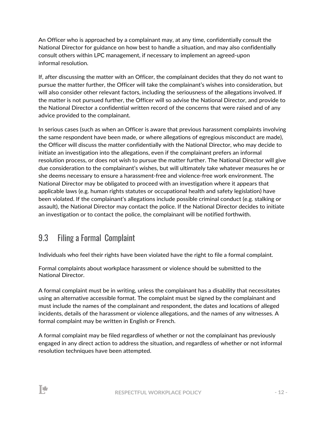An Officer who is approached by a complainant may, at any time, confidentially consult the National Director for guidance on how best to handle a situation, and may also confidentially consult others within LPC management, if necessary to implement an agreed-upon informal resolution.

If, after discussing the matter with an Officer, the complainant decides that they do not want to pursue the matter further, the Officer will take the complainant's wishes into consideration, but will also consider other relevant factors, including the seriousness of the allegations involved. If the matter is not pursued further, the Officer will so advise the National Director, and provide to the National Director a confidential written record of the concerns that were raised and of any advice provided to the complainant.

In serious cases (such as when an Officer is aware that previous harassment complaints involving the same respondent have been made, or where allegations of egregious misconduct are made), the Officer will discuss the matter confidentially with the National Director, who may decide to initiate an investigation into the allegations, even if the complainant prefers an informal resolution process, or does not wish to pursue the matter further. The National Director will give due consideration to the complainant's wishes, but will ultimately take whatever measures he or she deems necessary to ensure a harassment-free and violence-free work environment. The National Director may be obligated to proceed with an investigation where it appears that applicable laws (e.g. human rights statutes or occupational health and safety legislation) have been violated. If the complainant's allegations include possible criminal conduct (e.g. stalking or assault), the National Director may contact the police. If the National Director decides to initiate an investigation or to contact the police, the complainant will be notified forthwith.

### 9.3 Filing a Formal Complaint

Individuals who feel their rights have been violated have the right to file a formal complaint.

Formal complaints about workplace harassment or violence should be submitted to the National Director.

A formal complaint must be in writing, unless the complainant has a disability that necessitates using an alternative accessible format. The complaint must be signed by the complainant and must include the names of the complainant and respondent, the dates and locations of alleged incidents, details of the harassment or violence allegations, and the names of any witnesses. A formal complaint may be written in English or French.

A formal complaint may be filed regardless of whether or not the complainant has previously engaged in any direct action to address the situation, and regardless of whether or not informal resolution techniques have been attempted.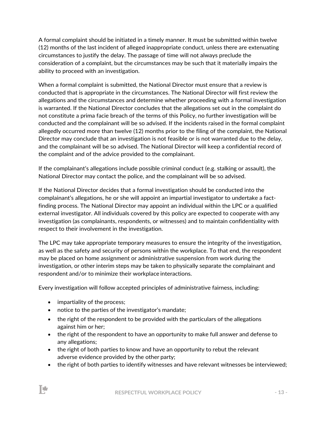A formal complaint should be initiated in a timely manner. It must be submitted within twelve (12) months of the last incident of alleged inappropriate conduct, unless there are extenuating circumstances to justify the delay. The passage of time will not always preclude the consideration of a complaint, but the circumstances may be such that it materially impairs the ability to proceed with an investigation.

When a formal complaint is submitted, the National Director must ensure that a review is conducted that is appropriate in the circumstances. The National Director will first review the allegations and the circumstances and determine whether proceeding with a formal investigation is warranted. If the National Director concludes that the allegations set out in the complaint do not constitute a prima facie breach of the terms of this Policy, no further investigation will be conducted and the complainant will be so advised. If the incidents raised in the formal complaint allegedly occurred more than twelve (12) months prior to the filing of the complaint, the National Director may conclude that an investigation is not feasible or is not warranted due to the delay, and the complainant will be so advised. The National Director will keep a confidential record of the complaint and of the advice provided to the complainant.

If the complainant's allegations include possible criminal conduct (e.g. stalking or assault), the National Director may contact the police, and the complainant will be so advised.

If the National Director decides that a formal investigation should be conducted into the complainant's allegations, he or she will appoint an impartial investigator to undertake a factfinding process. The National Director may appoint an individual within the LPC or a qualified external investigator. All individuals covered by this policy are expected to cooperate with any investigation (as complainants, respondents, or witnesses) and to maintain confidentiality with respect to their involvement in the investigation.

The LPC may take appropriate temporary measures to ensure the integrity of the investigation, as well as the safety and security of persons within the workplace. To that end, the respondent may be placed on home assignment or administrative suspension from work during the investigation, or other interim steps may be taken to physically separate the complainant and respondent and/or to minimize their workplace interactions.

Every investigation will follow accepted principles of administrative fairness, including:

• impartiality of the process;

⊯

- notice to the parties of the investigator's mandate;
- the right of the respondent to be provided with the particulars of the allegations against him or her;
- the right of the respondent to have an opportunity to make full answer and defense to any allegations;
- the right of both parties to know and have an opportunity to rebut the relevant adverse evidence provided by the other party;
- the right of both parties to identify witnesses and have relevant witnesses be interviewed;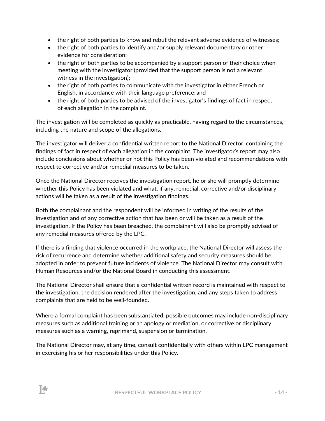- the right of both parties to know and rebut the relevant adverse evidence of witnesses;
- the right of both parties to identify and/or supply relevant documentary or other evidence for consideration;
- the right of both parties to be accompanied by a support person of their choice when meeting with the investigator (provided that the support person is not a relevant witness in the investigation);
- the right of both parties to communicate with the investigator in either French or English, in accordance with their language preference; and
- the right of both parties to be advised of the investigator's findings of fact in respect of each allegation in the complaint.

The investigation will be completed as quickly as practicable, having regard to the circumstances, including the nature and scope of the allegations.

The investigator will deliver a confidential written report to the National Director, containing the findings of fact in respect of each allegation in the complaint. The investigator's report may also include conclusions about whether or not this Policy has been violated and recommendations with respect to corrective and/or remedial measures to be taken.

Once the National Director receives the investigation report, he or she will promptly determine whether this Policy has been violated and what, if any, remedial, corrective and/or disciplinary actions will be taken as a result of the investigation findings.

Both the complainant and the respondent will be informed in writing of the results of the investigation and of any corrective action that has been or will be taken as a result of the investigation. If the Policy has been breached, the complainant will also be promptly advised of any remedial measures offered by the LPC.

If there is a finding that violence occurred in the workplace, the National Director will assess the risk of recurrence and determine whether additional safety and security measures should be adopted in order to prevent future incidents of violence. The National Director may consult with Human Resources and/or the National Board in conducting this assessment.

The National Director shall ensure that a confidential written record is maintained with respect to the investigation, the decision rendered after the investigation, and any steps taken to address complaints that are held to be well-founded.

Where a formal complaint has been substantiated, possible outcomes may include non-disciplinary measures such as additional training or an apology or mediation, or corrective or disciplinary measures such as a warning, reprimand, suspension or termination.

The National Director may, at any time, consult confidentially with others within LPC management in exercising his or her responsibilities under this Policy.

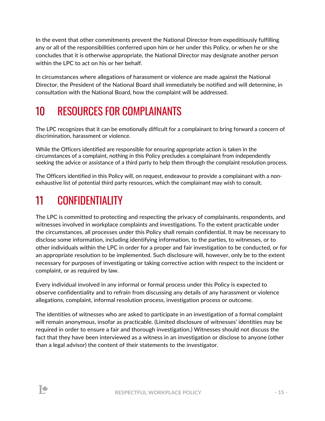In the event that other commitments prevent the National Director from expeditiously fulfilling any or all of the responsibilities conferred upon him or her under this Policy, or when he or she concludes that it is otherwise appropriate, the National Director may designate another person within the LPC to act on his or her behalf.

In circumstances where allegations of harassment or violence are made against the National Director, the President of the National Board shall immediately be notified and will determine, in consultation with the National Board, how the complaint will be addressed.

## 10 RESOURCES FOR COMPLAINANTS

The LPC recognizes that it can be emotionally difficult for a complainant to bring forward a concern of discrimination, harassment or violence.

While the Officers identified are responsible for ensuring appropriate action is taken in the circumstances of a complaint, nothing in this Policy precludes a complainant from independently seeking the advice or assistance of a third party to help them through the complaint resolution process.

The Officers identified in this Policy will, on request, endeavour to provide a complainant with a nonexhaustive list of potential third party resources, which the complainant may wish to consult.

### 11 CONFIDENTIALITY

The LPC is committed to protecting and respecting the privacy of complainants, respondents, and witnesses involved in workplace complaints and investigations. To the extent practicable under the circumstances, all processes under this Policy shall remain confidential. It may be necessary to disclose some information, including identifying information, to the parties, to witnesses, or to other individuals within the LPC in order for a proper and fair investigation to be conducted, or for an appropriate resolution to be implemented. Such disclosure will, however, only be to the extent necessary for purposes of investigating or taking corrective action with respect to the incident or complaint, or as required by law.

Every individual involved in any informal or formal process under this Policy is expected to observe confidentiality and to refrain from discussing any details of any harassment or violence allegations, complaint, informal resolution process, investigation process or outcome.

The identities of witnesses who are asked to participate in an investigation of a formal complaint will remain anonymous, insofar as practicable. (Limited disclosure of witnesses' identities may be required in order to ensure a fair and thorough investigation.) Witnesses should not discuss the fact that they have been interviewed as a witness in an investigation or disclose to anyone (other than a legal advisor) the content of their statements to the investigator.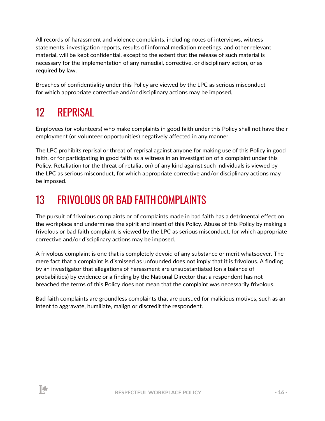All records of harassment and violence complaints, including notes of interviews, witness statements, investigation reports, results of informal mediation meetings, and other relevant material, will be kept confidential, except to the extent that the release of such material is necessary for the implementation of any remedial, corrective, or disciplinary action, or as required by law.

Breaches of confidentiality under this Policy are viewed by the LPC as serious misconduct for which appropriate corrective and/or disciplinary actions may be imposed.

## 12 REPRISAL

Employees (or volunteers) who make complaints in good faith under this Policy shall not have their employment (or volunteer opportunities) negatively affected in any manner.

The LPC prohibits reprisal or threat of reprisal against anyone for making use of this Policy in good faith, or for participating in good faith as a witness in an investigation of a complaint under this Policy. Retaliation (or the threat of retaliation) of any kind against such individuals is viewed by the LPC as serious misconduct, for which appropriate corrective and/or disciplinary actions may be imposed.

## 13 FRIVOLOUS OR BAD FAITHCOMPLAINTS

The pursuit of frivolous complaints or of complaints made in bad faith has a detrimental effect on the workplace and undermines the spirit and intent of this Policy. Abuse of this Policy by making a frivolous or bad faith complaint is viewed by the LPC as serious misconduct, for which appropriate corrective and/or disciplinary actions may be imposed.

A frivolous complaint is one that is completely devoid of any substance or merit whatsoever. The mere fact that a complaint is dismissed as unfounded does not imply that it is frivolous. A finding by an investigator that allegations of harassment are unsubstantiated (on a balance of probabilities) by evidence or a finding by the National Director that a respondent has not breached the terms of this Policy does not mean that the complaint was necessarily frivolous.

Bad faith complaints are groundless complaints that are pursued for malicious motives, such as an intent to aggravate, humiliate, malign or discredit the respondent.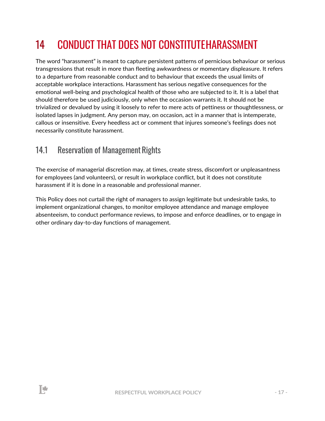## 14 CONDUCT THAT DOES NOT CONSTITUTEHARASSMENT

The word "harassment" is meant to capture persistent patterns of pernicious behaviour or serious transgressions that result in more than fleeting awkwardness or momentary displeasure. It refers to a departure from reasonable conduct and to behaviour that exceeds the usual limits of acceptable workplace interactions. Harassment has serious negative consequences for the emotional well-being and psychological health of those who are subjected to it. It is a label that should therefore be used judiciously, only when the occasion warrants it. It should not be trivialized or devalued by using it loosely to refer to mere acts of pettiness or thoughtlessness, or isolated lapses in judgment. Any person may, on occasion, act in a manner that is intemperate, callous or insensitive. Every heedless act or comment that injures someone's feelings does not necessarily constitute harassment.

### 14.1 Reservation of Management Rights

₩

The exercise of managerial discretion may, at times, create stress, discomfort or unpleasantness for employees (and volunteers), or result in workplace conflict, but it does not constitute harassment if it is done in a reasonable and professional manner.

This Policy does not curtail the right of managers to assign legitimate but undesirable tasks, to implement organizational changes, to monitor employee attendance and manage employee absenteeism, to conduct performance reviews, to impose and enforce deadlines, or to engage in other ordinary day-to-day functions of management.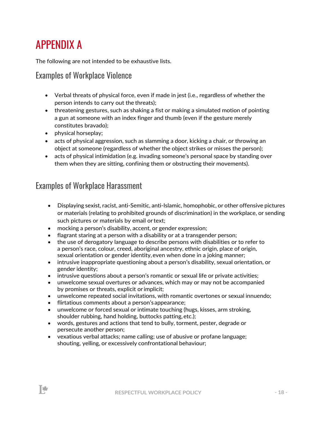## APPENDIX A

The following are not intended to be exhaustive lists.

#### Examples of Workplace Violence

- Verbal threats of physical force, even if made in jest (i.e., regardless of whether the person intends to carry out the threats);
- threatening gestures, such as shaking a fist or making a simulated motion of pointing a gun at someone with an index finger and thumb (even if the gesture merely constitutes bravado);
- physical horseplay;

▌₩

- acts of physical aggression, such as slamming a door, kicking a chair, or throwing an object at someone (regardless of whether the object strikes or misses the person);
- acts of physical intimidation (e.g. invading someone's personal space by standing over them when they are sitting, confining them or obstructing their movements).

#### Examples of Workplace Harassment

- Displaying sexist, racist, anti-Semitic, anti-Islamic, homophobic, or other offensive pictures or materials (relating to prohibited grounds of discrimination) in the workplace, or sending such pictures or materials by email or text;
- mocking a person's disability, accent, or gender expression;
- flagrant staring at a person with a disability or at a transgender person;
- the use of derogatory language to describe persons with disabilities or to refer to a person's race, colour, creed, aboriginal ancestry, ethnic origin, place of origin, sexual orientation or gender identity,even when done in a joking manner;
- intrusive inappropriate questioning about a person's disability, sexual orientation, or gender identity;
- intrusive questions about a person's romantic or sexual life or private activities;
- unwelcome sexual overtures or advances, which may or may not be accompanied by promises or threats, explicit orimplicit;
- unwelcome repeated social invitations, with romantic overtones or sexual innuendo;
- flirtatious comments about a person'sappearance;
- unwelcome or forced sexual or intimate touching (hugs, kisses, arm stroking, shoulder rubbing, hand holding, buttocks patting,etc.);
- words, gestures and actions that tend to bully, torment, pester, degrade or persecute another person;
- vexatious verbal attacks; name calling; use of abusive or profane language; shouting, yelling, or excessively confrontational behaviour;